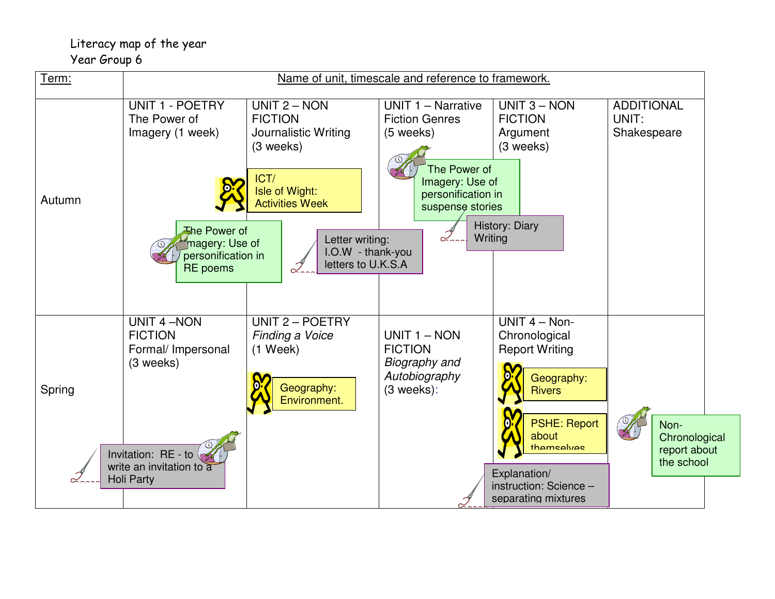## Literacy map of the year Year Group 6